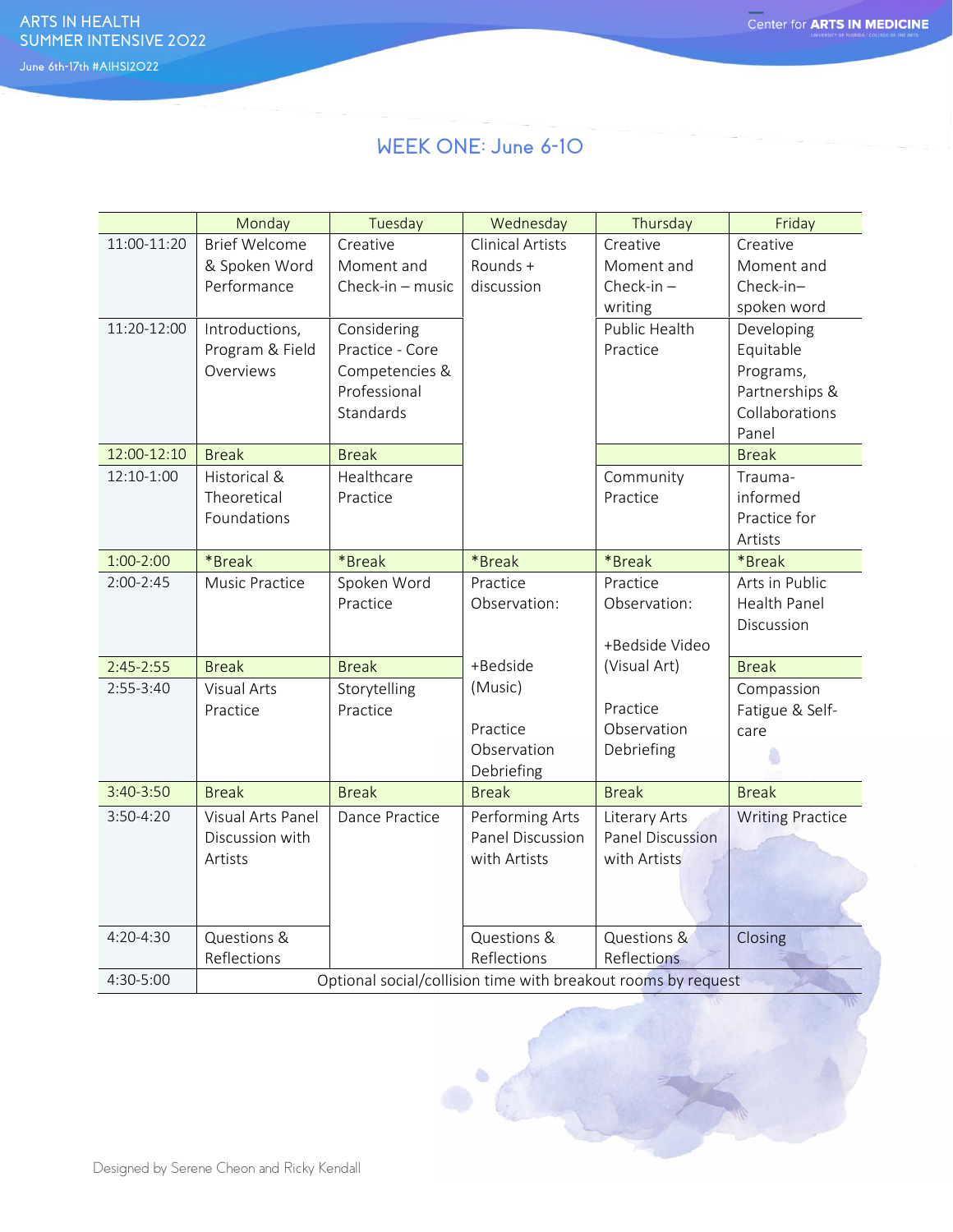## **WEEK ONE: June 6-10**

|                            | Monday                                                                                                 | Tuesday                                                                                                                       | Wednesday                                           | Thursday                                                                       | Friday                                                                                                                                  |  |
|----------------------------|--------------------------------------------------------------------------------------------------------|-------------------------------------------------------------------------------------------------------------------------------|-----------------------------------------------------|--------------------------------------------------------------------------------|-----------------------------------------------------------------------------------------------------------------------------------------|--|
| 11:00-11:20<br>11:20-12:00 | <b>Brief Welcome</b><br>& Spoken Word<br>Performance<br>Introductions,<br>Program & Field<br>Overviews | Creative<br>Moment and<br>Check-in $-$ music<br>Considering<br>Practice - Core<br>Competencies &<br>Professional<br>Standards | <b>Clinical Artists</b><br>Rounds +<br>discussion   | Creative<br>Moment and<br>Check-in $-$<br>writing<br>Public Health<br>Practice | Creative<br>Moment and<br>Check-in-<br>spoken word<br>Developing<br>Equitable<br>Programs,<br>Partnerships &<br>Collaborations<br>Panel |  |
| 12:00-12:10                | <b>Break</b>                                                                                           | <b>Break</b>                                                                                                                  |                                                     |                                                                                | <b>Break</b>                                                                                                                            |  |
| 12:10-1:00                 | Historical &<br>Theoretical<br>Foundations                                                             | Healthcare<br>Practice                                                                                                        |                                                     | Community<br>Practice                                                          | Trauma-<br>informed<br>Practice for<br>Artists                                                                                          |  |
| $1:00-2:00$                | *Break                                                                                                 | *Break                                                                                                                        | *Break                                              | *Break                                                                         | *Break                                                                                                                                  |  |
| $2:00-2:45$                | Music Practice                                                                                         | Spoken Word<br>Practice                                                                                                       | Practice<br>Observation:                            | Practice<br>Observation:<br>+Bedside Video                                     | Arts in Public<br>Health Panel<br>Discussion                                                                                            |  |
| $2:45 - 2:55$              | <b>Break</b>                                                                                           | <b>Break</b>                                                                                                                  | +Bedside                                            | (Visual Art)                                                                   | <b>Break</b>                                                                                                                            |  |
| $2:55-3:40$                | <b>Visual Arts</b><br>Practice                                                                         | Storytelling<br>Practice                                                                                                      | (Music)<br>Practice<br>Observation<br>Debriefing    | Practice<br>Observation<br>Debriefing                                          | Compassion<br>Fatigue & Self-<br>care                                                                                                   |  |
| 3:40-3:50                  | <b>Break</b>                                                                                           | <b>Break</b>                                                                                                                  | <b>Break</b>                                        | <b>Break</b>                                                                   | <b>Break</b>                                                                                                                            |  |
| 3:50-4:20                  | Visual Arts Panel<br>Discussion with<br>Artists                                                        | Dance Practice                                                                                                                | Performing Arts<br>Panel Discussion<br>with Artists | Literary Arts<br><b>Panel Discussion</b><br>with Artists                       | <b>Writing Practice</b>                                                                                                                 |  |
| 4:20-4:30                  | Questions &                                                                                            |                                                                                                                               | Questions &                                         | Questions &                                                                    | Closing                                                                                                                                 |  |
|                            | Reflections                                                                                            |                                                                                                                               | Reflections                                         | Reflections                                                                    |                                                                                                                                         |  |
| 4:30-5:00                  | Optional social/collision time with breakout rooms by request                                          |                                                                                                                               |                                                     |                                                                                |                                                                                                                                         |  |

۵